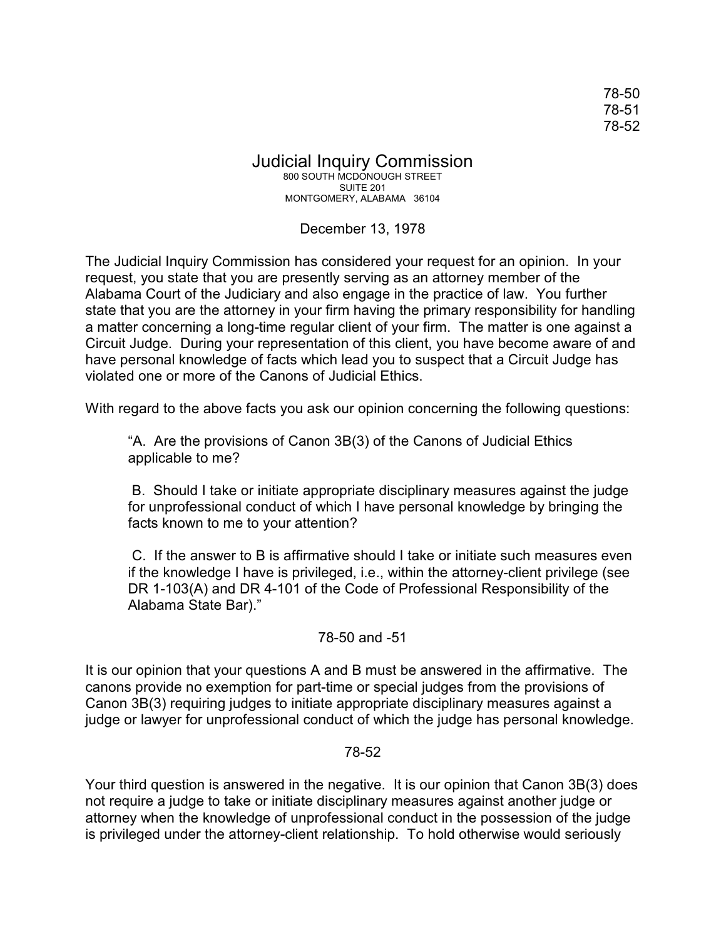78-50 78-51 78-52

## Judicial Inquiry Commission 800 SOUTH MCDONOUGH STREET SUITE 201

MONTGOMERY, ALABAMA 36104

## December 13, 1978

The Judicial Inquiry Commission has considered your request for an opinion. In your request, you state that you are presently serving as an attorney member of the Alabama Court of the Judiciary and also engage in the practice of law. You further state that you are the attorney in your firm having the primary responsibility for handling a matter concerning a long-time regular client of your firm. The matter is one against a Circuit Judge. During your representation of this client, you have become aware of and have personal knowledge of facts which lead you to suspect that a Circuit Judge has violated one or more of the Canons of Judicial Ethics.

With regard to the above facts you ask our opinion concerning the following questions:

"A. Are the provisions of Canon 3B(3) of the Canons of Judicial Ethics applicable to me?

 B. Should I take or initiate appropriate disciplinary measures against the judge for unprofessional conduct of which I have personal knowledge by bringing the facts known to me to your attention?

 C. If the answer to B is affirmative should I take or initiate such measures even if the knowledge I have is privileged, i.e., within the attorney-client privilege (see DR 1-103(A) and DR 4-101 of the Code of Professional Responsibility of the Alabama State Bar)."

## 78-50 and -51

It is our opinion that your questions A and B must be answered in the affirmative. The canons provide no exemption for part-time or special judges from the provisions of Canon 3B(3) requiring judges to initiate appropriate disciplinary measures against a judge or lawyer for unprofessional conduct of which the judge has personal knowledge.

## 78-52

Your third question is answered in the negative. It is our opinion that Canon 3B(3) does not require a judge to take or initiate disciplinary measures against another judge or attorney when the knowledge of unprofessional conduct in the possession of the judge is privileged under the attorney-client relationship. To hold otherwise would seriously